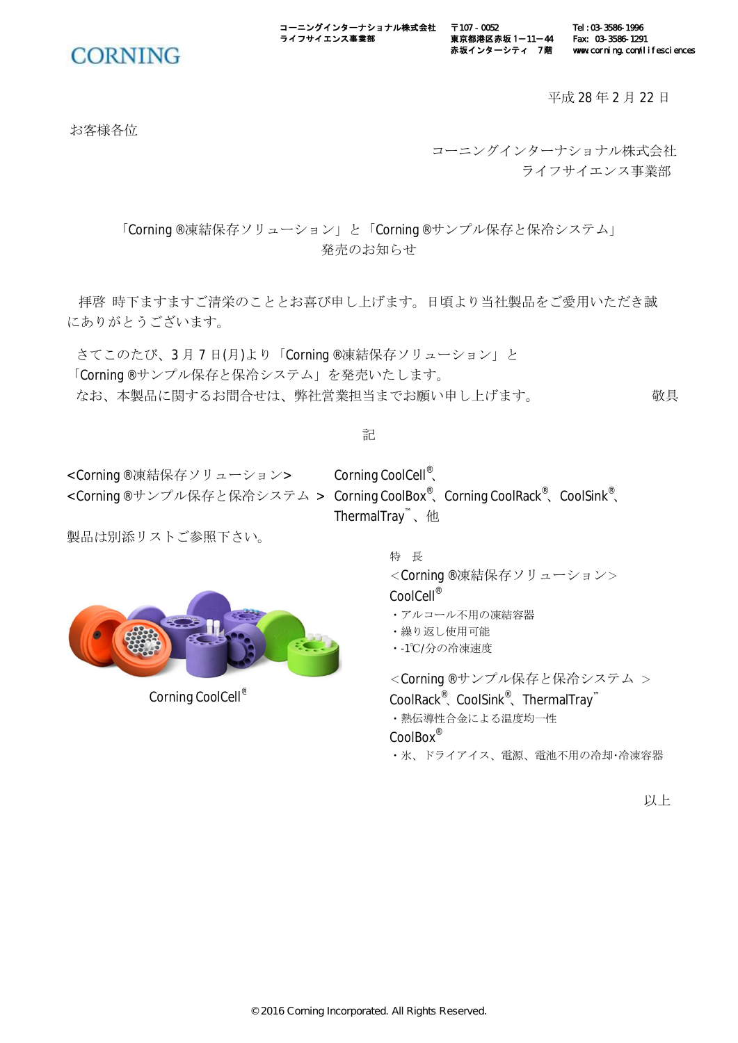ーニングインターナショナル株式会社 ライフサイエンス事業部

**CORNING** 

平成 28 年 2 月 22 日

Tel:03-3586-1996 Fax: 03-3586-1291

www.corning.com/lifesciences

お客様各位

コーニングインターナショナル株式会社 ライフサイエンス事業部

「Corning®凍結保存ソリューション」と「Corning®サンプル保存と保冷システム」 発売のお知らせ

拝啓 時下ますますご清栄のこととお喜び申し上げます。日頃より当社製品をご愛用いただき誠 にありがとうございます。

さてこのたび、3月7日(月)より「Corning®凍結保存ソリューション」と 「Corning®サンプル保存と保冷システム」を発売いたします。 なお、本製品に関するお問合せは、弊社営業担当までお願い申し上げます。

記

< Corning®凍結保存ソリューション> Corning CoolCell®、

< Corning®サンプル保存と保冷システム > Corning CoolBox ゚、Corning CoolRack ゚、CoolSink ゚、 ThermalTray<sup>™</sup>、他

〒107 - 0052

東京都港区赤坂 1-11-44 赤坂インターシティ 7階

製品は別添リストご参照下さい。

Corning CoolCell®

特 長 <Corning®凍結保存ソリューション> CoolCell<sup>®</sup> • アルコール不用の凍結容器

- 繰り返し使用可能
- •-1℃/分の冷凍速度

<Corning®サンプル保存と保冷システム > CoolRack<sup>®</sup>、CoolSink<sup>®</sup>、ThermalTray<sup>™</sup> ・熱伝導性合金による温度均一性 CoolBox®

・氷、ドライアイス、電源、電池不用の冷却・冷凍容器

以上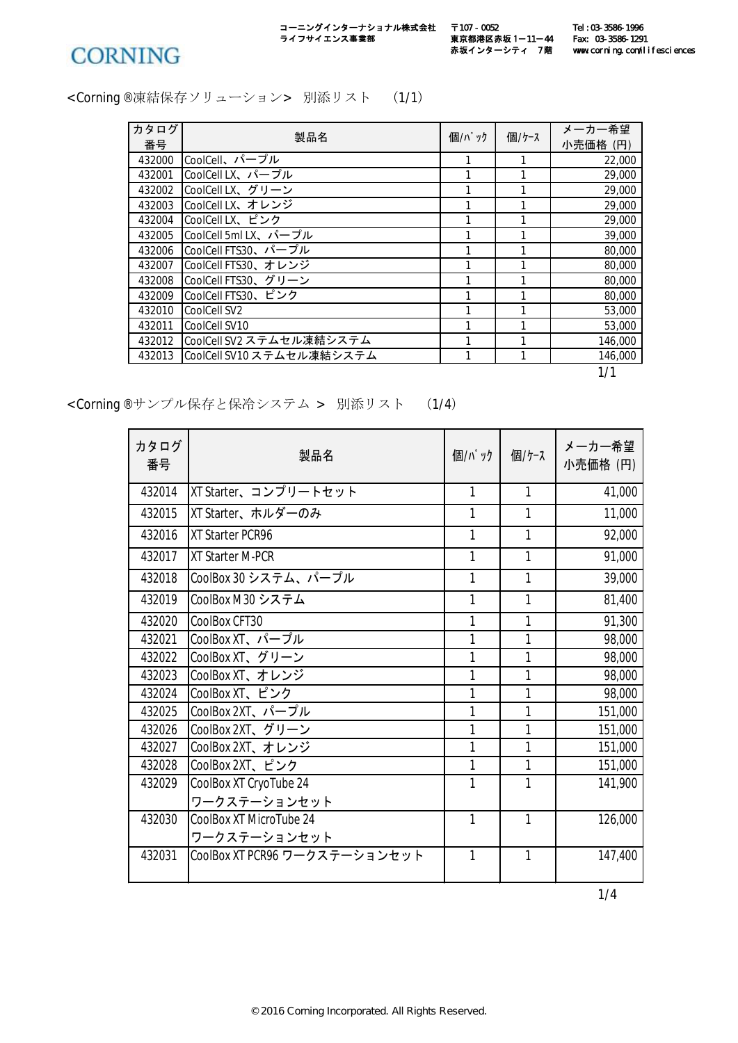

コーニングインターナショナル株式会社 うイフサイエンス事業部

〒107 - 0052 東京都港区赤坂 1―11―44 Fax: 03-3586-1291 **赤坂インターシティ 7階** 

< Corning®凍結保存ソリューション>別添リスト (1/1)

| カタログ   | 製品名                       | 個/パック | 個/ケース | メーカー希望   |
|--------|---------------------------|-------|-------|----------|
| 番号     |                           |       |       | 小売価格 (円) |
| 432000 | CoolCell、パープル             |       |       | 22,000   |
| 432001 | CoolCell LX、パープル          |       |       | 29,000   |
| 432002 | CoolCell LX、グリーン          |       |       | 29,000   |
| 432003 | CoolCell LX、オレンジ          |       |       | 29,000   |
| 432004 | CoolCell LX、ピンク           |       |       | 29,000   |
| 432005 | CoolCell 5ml LX、パープル      | 1     | 1     | 39,000   |
| 432006 | CoolCell FTS30、パープル       |       |       | 80,000   |
| 432007 | CoolCell FTS30、オレンジ       | 1     | 1     | 80,000   |
| 432008 | CoolCell FTS30、グリーン       | 1     | 1     | 80,000   |
| 432009 | CoolCell FTS30、ピンク        | 1     | 1     | 80,000   |
| 432010 | CoolCell SV2              |       |       | 53,000   |
| 432011 | CoolCell SV10             | 1     | 1     | 53,000   |
| 432012 | CoolCell SV2 ステムセル凍結システム  | 1     | 1     | 146,000  |
| 432013 | CoolCell SV10 ステムセル凍結システム | 1     | 1     | 146,000  |

1/1

< Corning®サンプル保存と保冷システム > 別添リスト (1/4)

| カタログ<br>番号 | 製品名                           | 個/パック | 個/ケース        | メーカー希望<br>小売価格 (円) |
|------------|-------------------------------|-------|--------------|--------------------|
| 432014     | XT Starter、コンプリートセット          | 1     | 1            | 41,000             |
| 432015     | XT Starter、ホルダーのみ             | 1     | 1            | 11,000             |
| 432016     | XT Starter PCR96              | 1     | $\mathbf{1}$ | 92,000             |
| 432017     | <b>XT Starter M-PCR</b>       | 1     | $\mathbf{1}$ | 91,000             |
| 432018     | CoolBox 30 システム、パープル          | 1     | 1            | 39,000             |
| 432019     | CoolBox M30 システム              | 1     | 1            | 81,400             |
| 432020     | CoolBox CFT30                 | 1     | $\mathbf{1}$ | 91,300             |
| 432021     | CoolBox XT、パープル               | 1     | 1            | 98,000             |
| 432022     | CoolBox XT、グリーン               | 1     | 1            | 98,000             |
| 432023     | CoolBox XT、オレンジ               | 1     | 1            | 98,000             |
| 432024     | CoolBox XT、ピンク                | 1     | 1            | 98,000             |
| 432025     | CoolBox 2XT、パープル              | 1     | 1            | 151,000            |
| 432026     | CoolBox 2XT、グリーン              | 1     | 1            | 151,000            |
| 432027     | CoolBox 2XT、オレンジ              | 1     | 1            | 151,000            |
| 432028     | CoolBox 2XT、ピンク               | 1     | 1            | 151,000            |
| 432029     | CoolBox XT CryoTube 24        | 1     | 1            | 141,900            |
|            | ワークステーションセット                  |       |              |                    |
| 432030     | CoolBox XT MicroTube 24       | 1     | 1            | 126,000            |
|            | ワークステーションセット                  |       |              |                    |
| 432031     | CoolBox XT PCR96 ワークステーションセット | 1     | $\mathbf{1}$ | 147,400            |

1/4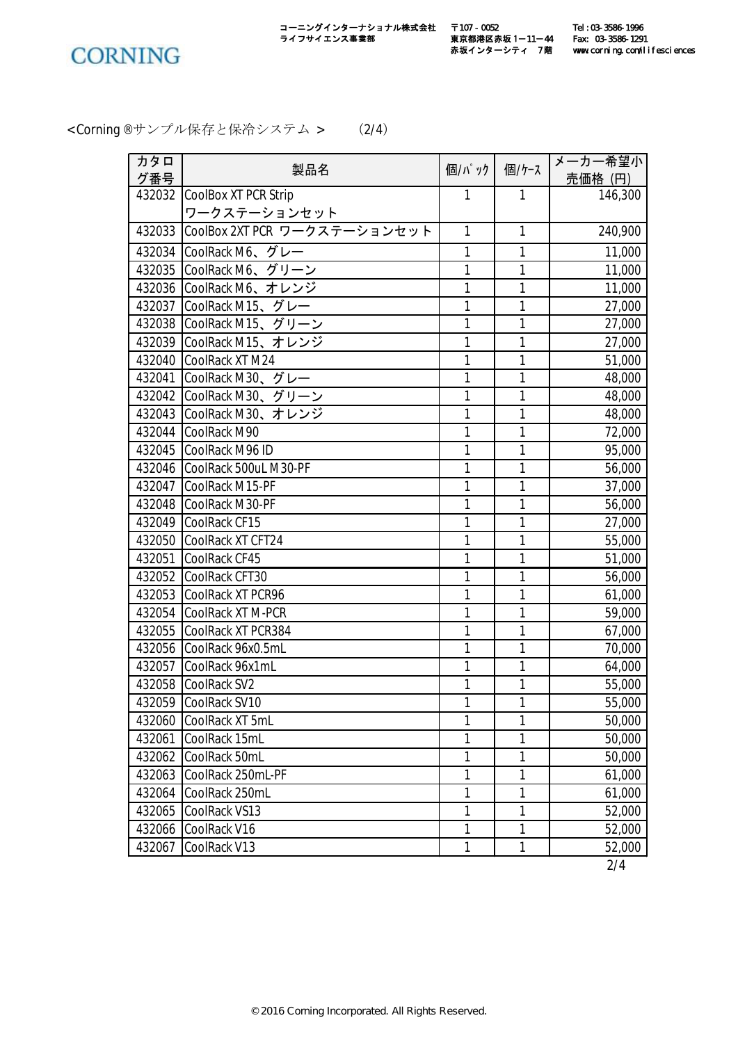

< Corning®サンプル保存と保冷システム > (2/4)

| カタロ    |                              |              |              | メーカー希望小 |
|--------|------------------------------|--------------|--------------|---------|
| グ番号    | 製品名                          | 個/パック        | 個/ケース        | 売価格 (円) |
| 432032 | CoolBox XT PCR Strip         | 1            | $\mathbf{1}$ | 146,300 |
|        | ワークステーションセット                 |              |              |         |
| 432033 | CoolBox 2XT PCR ワークステーションセット | $\mathbf{1}$ | $\mathbf{1}$ | 240,900 |
| 432034 | CoolRack M6、グレー              | $\mathbf{1}$ | $\mathbf{1}$ | 11,000  |
| 432035 | CoolRack M6、グリーン             | $\mathbf{1}$ | $\mathbf{1}$ | 11,000  |
| 432036 | CoolRack M6、オレンジ             | $\mathbf{1}$ | $\mathbf{1}$ | 11,000  |
| 432037 | CoolRack M15、グレー             | $\mathbf{1}$ | $\mathbf{1}$ | 27,000  |
| 432038 | CoolRack M15、グリーン            | 1            | 1            | 27,000  |
| 432039 | CoolRack M15、オレンジ            | 1            | $\mathbf{1}$ | 27,000  |
| 432040 | CoolRack XT M24              | $\mathbf{1}$ | $\mathbf{1}$ | 51,000  |
| 432041 | CoolRack M30、グレー             | $\mathbf{1}$ | $\mathbf{1}$ | 48,000  |
| 432042 | CoolRack M30、グリーン            | 1            | $\mathbf{1}$ | 48,000  |
| 432043 | CoolRack M30、オレンジ            | 1            | 1            | 48,000  |
| 432044 | CoolRack M90                 | 1            | 1            | 72,000  |
| 432045 | CoolRack M96 ID              | 1            | $\mathbf{1}$ | 95,000  |
| 432046 | CoolRack 500uL M30-PF        | 1            | 1            | 56,000  |
| 432047 | CoolRack M15-PF              | $\mathbf{1}$ | $\mathbf{1}$ | 37,000  |
| 432048 | CoolRack M30-PF              | 1            | $\mathbf{1}$ | 56,000  |
| 432049 | CoolRack CF15                | 1            | $\mathbf{1}$ | 27,000  |
| 432050 | CoolRack XT CFT24            | 1            | 1            | 55,000  |
| 432051 | CoolRack CF45                | 1            | 1            | 51,000  |
| 432052 | CoolRack CFT30               | 1            | 1            | 56,000  |
| 432053 | CoolRack XT PCR96            | 1            | 1            | 61,000  |
| 432054 | CoolRack XT M-PCR            | $\mathbf{1}$ | $\mathbf{1}$ | 59,000  |
| 432055 | CoolRack XT PCR384           | 1            | 1            | 67,000  |
| 432056 | CoolRack 96x0.5mL            | 1            | 1            | 70,000  |
| 432057 | CoolRack 96x1mL              | 1            | 1            | 64,000  |
| 432058 | CoolRack SV2                 | 1            | 1            | 55,000  |
|        | 432059 CoolRack SV10         | 1            | 1            | 55,000  |
|        | 432060 CoolRack XT 5mL       | 1            | $\mathbf{1}$ | 50,000  |
| 432061 | CoolRack 15mL                | 1            | 1            | 50,000  |
| 432062 | CoolRack 50mL                | 1            | 1            | 50,000  |
| 432063 | CoolRack 250mL-PF            | $\mathbf{1}$ | $\mathbf{1}$ | 61,000  |
| 432064 | CoolRack 250mL               | 1            | 1            | 61,000  |
| 432065 | CoolRack VS13                | 1            | $\mathbf{1}$ | 52,000  |
| 432066 | CoolRack V16                 | 1            | 1            | 52,000  |
| 432067 | CoolRack V13                 | $\mathbf{1}$ | $\mathbf{1}$ | 52,000  |
|        |                              |              |              | 2/4     |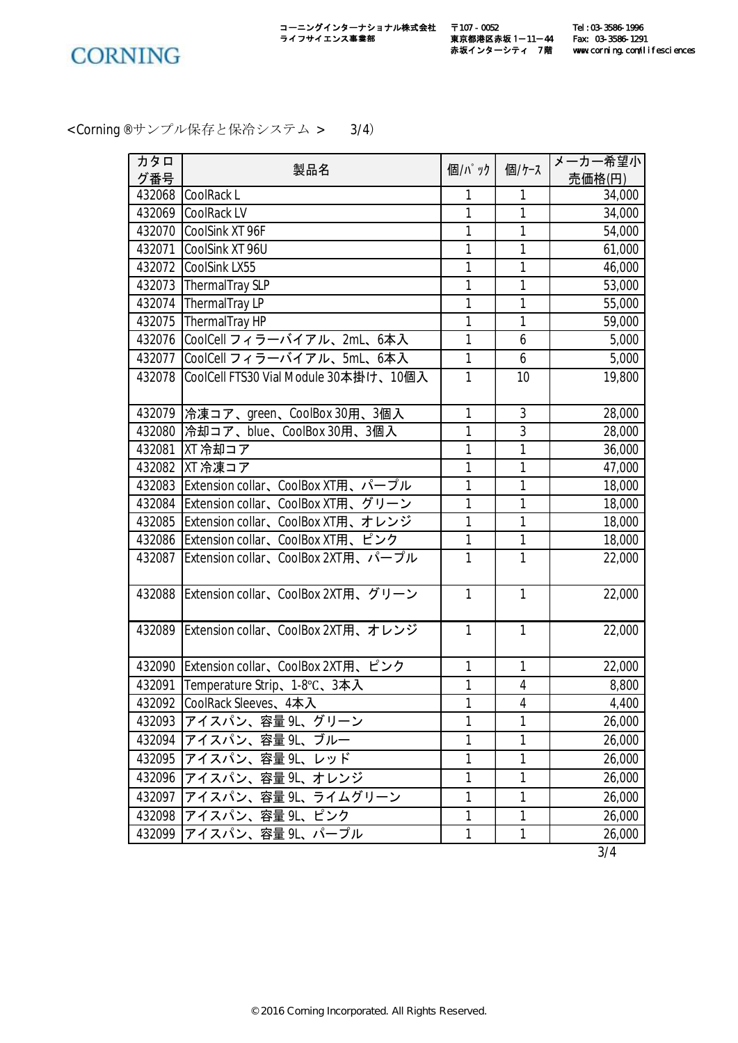

< Corning®サンプル保存と保冷システム > 3/4)

| カタロ              | 製品名                                       | 個/パック        | 個/ケース          | メーカー希望小         |
|------------------|-------------------------------------------|--------------|----------------|-----------------|
| グ番号              |                                           |              |                | 売価格(円)          |
| 432068           | CoolRack L                                | 1            | 1              | 34,000          |
| 432069           | CoolRack LV                               | 1            | 1              | 34,000          |
| 432070           | CoolSink XT 96F                           | 1            | 1              | 54,000          |
| 432071           | CoolSink XT 96U                           | 1            | 1              | 61,000          |
| 432072           | CoolSink LX55                             | 1<br>1       | 1              | 46,000          |
| 432073           | ThermalTray SLP                           | 1            | 1<br>1         | 53,000          |
| 432074           | ThermalTray LP<br>ThermalTray HP          | $\mathbf{1}$ | 1              | 55,000          |
| 432075<br>432076 | CoolCell フィラーバイアル、2mL、6本入                 | 1            | 6              | 59,000<br>5,000 |
|                  |                                           | $\mathbf{1}$ | 6              |                 |
| 432077           | CoolCell フィラーバイアル、5mL、6本入                 |              |                | 5,000           |
| 432078           | CoolCell FTS30 Vial Module 30本掛け、10個入     | $\mathbf{1}$ | 10             | 19,800          |
|                  | 432079  冷凍コア、green、CoolBox 30用、3個入        | 1            | 3              | 28,000          |
| 432080           | 冷却コア、blue、CoolBox 30用、3個入                 | 1            | 3              | 28,000          |
| 432081           | XT 冷却コア                                   | 1            | 1              | 36,000          |
| 432082           | XT 冷凍コア                                   | 1            | 1              | 47,000          |
| 432083           | Extension collar、CoolBox XT用、パープル         | 1            | 1              | 18,000          |
| 432084           | Extension collar、CoolBox XT用、グリーン         | 1            | 1              | 18,000          |
| 432085           | Extension collar、CoolBox XT用、オレンジ         | $\mathbf{1}$ | 1              | 18,000          |
| 432086           | Extension collar、CoolBox XT用、ピンク          | 1            | 1              | 18,000          |
| 432087           | Extension collar、CoolBox 2XT用、パープル        | $\mathbf{1}$ | 1              | 22,000          |
|                  | 432088 Extension collar、CoolBox 2XT用、グリーン | $\mathbf{1}$ | $\mathbf{1}$   | 22,000          |
| 432089           | Extension collar、CoolBox 2XT用、オレンジ        | $\mathbf{1}$ | $\mathbf{1}$   | 22,000          |
|                  | 432090 Extension collar、CoolBox 2XT用、ピンク  | 1            | 1              | 22,000          |
| 432091           | Temperature Strip、1-8℃、3本入                | 1            | 4              | 8,800           |
|                  | 432092 CoolRack Sleeves、4本入               | 1            | $\overline{4}$ | 4,400           |
|                  | 432093 アイスパン、容量 9L、グリーン                   | $\mathbf{1}$ | 1              | 26,000          |
| 432094           | アイスパン、容量 9L、ブルー                           | 1            | 1              | 26,000          |
| 432095           | アイスパン、容量9L、レッド                            | 1            | 1              | 26,000          |
| 432096           | アイスパン、容量 9L、オレンジ                          | 1            | $\mathbf{1}$   | 26,000          |
| 432097           | アイスパン、容量9し、ライムグリーン                        | $\mathbf{1}$ | $\mathbf{1}$   | 26,000          |
| 432098           | アイスパン、容量 9L、ピンク                           | 1            | 1              | 26,000          |
| 432099           | アイスパン、容量 9L、パープル                          | $\mathbf{1}$ | $\mathbf{1}$   | 26,000          |
|                  |                                           |              |                | 3/4             |